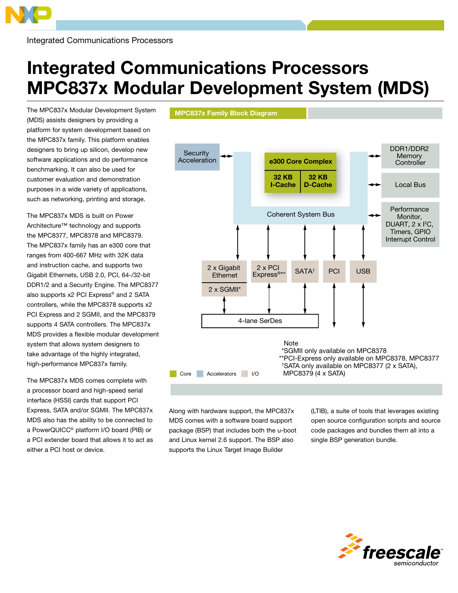

Integrated Communications Processors

## Integrated Communications Processors MPC837x Modular Development System (MDS)

MPC837x Family Block Diagram

The MPC837x Modular Development System (MDS) assists designers by providing a platform for system development based on the MPC837x family. This platform enables designers to bring up silicon, develop new software applications and do performance benchmarking. It can also be used for customer evaluation and demonstration purposes in a wide variety of applications, such as networking, printing and storage.

The MPC837x MDS is built on Power Architecture™ technology and supports the MPC8377, MPC8378 and MPC8379. The MPC837x family has an e300 core that ranges from 400-667 MHz with 32K data and instruction cache, and supports two Gigabit Ethernets, USB 2.0, PCI, 64-/32-bit DDR1/2 and a Security Engine. The MPC8377 also supports x2 PCI Express® and 2 SATA controllers, while the MPC8378 supports x2 PCI Express and 2 SGMII, and the MPC8379 supports 4 SATA controllers. The MPC837x MDS provides a flexible modular development system that allows system designers to take advantage of the highly integrated, high-performance MPC837x family.

The MPC837x MDS comes complete with a processor board and high-speed serial interface (HSSI) cards that support PCI Express, SATA and/or SGMII. The MPC837x MDS also has the ability to be connected to a PowerQUICC® platform I/O board (PIB) or a PCI extender board that allows it to act as either a PCI host or device.



Along with hardware support, the MPC837x MDS comes with a software board support package (BSP) that includes both the u-boot and Linux kernel 2.6 support. The BSP also supports the Linux Target Image Builder

(LTIB), a suite of tools that leverages existing open source configuration scripts and source code packages and bundles them all into a single BSP generation bundle.